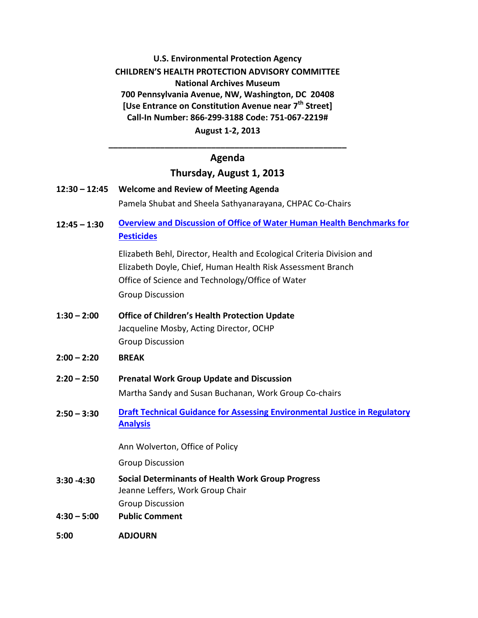# **U.S. Environmental Protection Agency CHILDREN'S HEALTH PROTECTION ADVISORY COMMITTEE National Archives Museum 700 Pennsylvania Avenue, NW, Washington, DC 20408 [Use Entrance on Constitution Avenue near 7th Street] Call-In Number: 866-299-3188 Code: 751-067-2219# August 1-2, 2013**

# **\_\_\_\_\_\_\_\_\_\_\_\_\_\_\_\_\_\_\_\_\_\_\_\_\_\_\_\_\_\_\_\_\_\_\_\_\_\_\_\_\_\_\_\_\_\_\_\_\_\_\_ Agenda**

### **Thursday, August 1, 2013**

- **12:30 12:45 Welcome and Review of Meeting Agenda** Pamela Shubat and Sheela Sathyanarayana, CHPAC Co-Chairs
- **12:45 1:30 [Overview and Discussion of Office of Water Human Health Benchmarks for](http://iaspub.epa.gov/apex/pesticides/f?p=HHBP:home)  [Pesticides](http://iaspub.epa.gov/apex/pesticides/f?p=HHBP:home)**

Elizabeth Behl, Director, Health and Ecological Criteria Division and Elizabeth Doyle, Chief, Human Health Risk Assessment Branch Office of Science and Technology/Office of Water Group Discussion

- **1:30 2:00 Office of Children's Health Protection Update**  Jacqueline Mosby, Acting Director, OCHP Group Discussion
- **2:00 2:20 BREAK**
- **2:20 2:50 Prenatal Work Group Update and Discussion**  Martha Sandy and Susan Buchanan, Work Group Co-chairs
- **2:50 3:30 [Draft Technical Guidance for Assessing Environmental Justice in Regulatory](http://yosemite.epa.gov/sab/sabproduct.nsf/0/0F7D1A0D7D15001B8525783000673AC3/$File/EPA-HQ-OA-2013-0320-0002%5b1%5d.pdf)  [Analysis](http://yosemite.epa.gov/sab/sabproduct.nsf/0/0F7D1A0D7D15001B8525783000673AC3/$File/EPA-HQ-OA-2013-0320-0002%5b1%5d.pdf)**

Ann Wolverton, Office of Policy

Group Discussion

- **3:30 -4:30 Social Determinants of Health Work Group Progress** Jeanne Leffers, Work Group Chair Group Discussion
- **4:30 5:00 Public Comment**
- **5:00 ADJOURN**